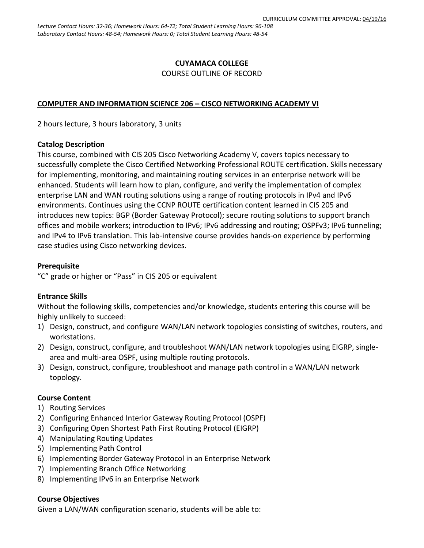# **CUYAMACA COLLEGE**

### COURSE OUTLINE OF RECORD

#### **COMPUTER AND INFORMATION SCIENCE 206 – CISCO NETWORKING ACADEMY VI**

2 hours lecture, 3 hours laboratory, 3 units

#### **Catalog Description**

This course, combined with CIS 205 Cisco Networking Academy V, covers topics necessary to successfully complete the Cisco Certified Networking Professional ROUTE certification. Skills necessary for implementing, monitoring, and maintaining routing services in an enterprise network will be enhanced. Students will learn how to plan, configure, and verify the implementation of complex enterprise LAN and WAN routing solutions using a range of routing protocols in IPv4 and IPv6 environments. Continues using the CCNP ROUTE certification content learned in CIS 205 and introduces new topics: BGP (Border Gateway Protocol); secure routing solutions to support branch offices and mobile workers; introduction to IPv6; IPv6 addressing and routing; OSPFv3; IPv6 tunneling; and IPv4 to IPv6 translation. This lab-intensive course provides hands-on experience by performing case studies using Cisco networking devices.

#### **Prerequisite**

"C" grade or higher or "Pass" in CIS 205 or equivalent

### **Entrance Skills**

Without the following skills, competencies and/or knowledge, students entering this course will be highly unlikely to succeed:

- 1) Design, construct, and configure WAN/LAN network topologies consisting of switches, routers, and workstations.
- 2) Design, construct, configure, and troubleshoot WAN/LAN network topologies using EIGRP, singlearea and multi-area OSPF, using multiple routing protocols.
- 3) Design, construct, configure, troubleshoot and manage path control in a WAN/LAN network topology.

### **Course Content**

- 1) Routing Services
- 2) Configuring Enhanced Interior Gateway Routing Protocol (OSPF)
- 3) Configuring Open Shortest Path First Routing Protocol (EIGRP)
- 4) Manipulating Routing Updates
- 5) Implementing Path Control
- 6) Implementing Border Gateway Protocol in an Enterprise Network
- 7) Implementing Branch Office Networking
- 8) Implementing IPv6 in an Enterprise Network

#### **Course Objectives**

Given a LAN/WAN configuration scenario, students will be able to: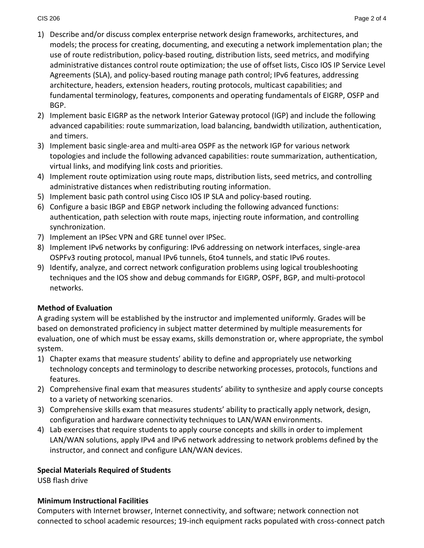- 1) Describe and/or discuss complex enterprise network design frameworks, architectures, and models; the process for creating, documenting, and executing a network implementation plan; the use of route redistribution, policy-based routing, distribution lists, seed metrics, and modifying administrative distances control route optimization; the use of offset lists, Cisco IOS IP Service Level Agreements (SLA), and policy-based routing manage path control; IPv6 features, addressing architecture, headers, extension headers, routing protocols, multicast capabilities; and fundamental terminology, features, components and operating fundamentals of EIGRP, OSFP and BGP.
- 2) Implement basic EIGRP as the network Interior Gateway protocol (IGP) and include the following advanced capabilities: route summarization, load balancing, bandwidth utilization, authentication, and timers.
- 3) Implement basic single-area and multi-area OSPF as the network IGP for various network topologies and include the following advanced capabilities: route summarization, authentication, virtual links, and modifying link costs and priorities.
- 4) Implement route optimization using route maps, distribution lists, seed metrics, and controlling administrative distances when redistributing routing information.
- 5) Implement basic path control using Cisco IOS IP SLA and policy-based routing.
- 6) Configure a basic IBGP and EBGP network including the following advanced functions: authentication, path selection with route maps, injecting route information, and controlling synchronization.
- 7) Implement an IPSec VPN and GRE tunnel over IPSec.
- 8) Implement IPv6 networks by configuring: IPv6 addressing on network interfaces, single-area OSPFv3 routing protocol, manual IPv6 tunnels, 6to4 tunnels, and static IPv6 routes.
- 9) Identify, analyze, and correct network configuration problems using logical troubleshooting techniques and the IOS show and debug commands for EIGRP, OSPF, BGP, and multi-protocol networks.

## **Method of Evaluation**

A grading system will be established by the instructor and implemented uniformly. Grades will be based on demonstrated proficiency in subject matter determined by multiple measurements for evaluation, one of which must be essay exams, skills demonstration or, where appropriate, the symbol system.

- 1) Chapter exams that measure students' ability to define and appropriately use networking technology concepts and terminology to describe networking processes, protocols, functions and features.
- 2) Comprehensive final exam that measures students' ability to synthesize and apply course concepts to a variety of networking scenarios.
- 3) Comprehensive skills exam that measures students' ability to practically apply network, design, configuration and hardware connectivity techniques to LAN/WAN environments.
- 4) Lab exercises that require students to apply course concepts and skills in order to implement LAN/WAN solutions, apply IPv4 and IPv6 network addressing to network problems defined by the instructor, and connect and configure LAN/WAN devices.

## **Special Materials Required of Students**

USB flash drive

# **Minimum Instructional Facilities**

Computers with Internet browser, Internet connectivity, and software; network connection not connected to school academic resources; 19-inch equipment racks populated with cross-connect patch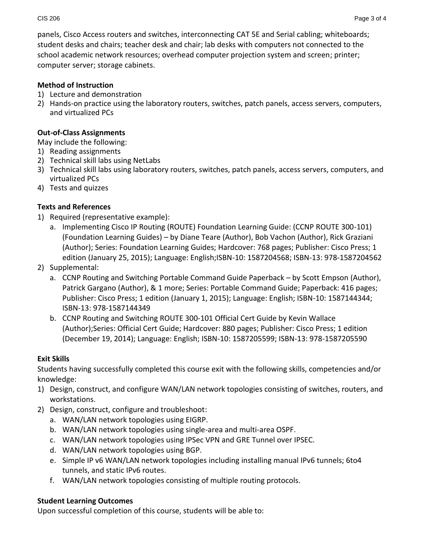panels, Cisco Access routers and switches, interconnecting CAT 5E and Serial cabling; whiteboards; student desks and chairs; teacher desk and chair; lab desks with computers not connected to the school academic network resources; overhead computer projection system and screen; printer; computer server; storage cabinets.

# **Method of Instruction**

- 1) Lecture and demonstration
- 2) Hands-on practice using the laboratory routers, switches, patch panels, access servers, computers, and virtualized PCs

# **Out-of-Class Assignments**

May include the following:

- 1) Reading assignments
- 2) Technical skill labs using NetLabs
- 3) Technical skill labs using laboratory routers, switches, patch panels, access servers, computers, and virtualized PCs
- 4) Tests and quizzes

# **Texts and References**

- 1) Required (representative example):
	- a. Implementing Cisco IP Routing (ROUTE) Foundation Learning Guide: (CCNP ROUTE 300-101) (Foundation Learning Guides) – by Diane Teare (Author), Bob Vachon (Author), Rick Graziani (Author); Series: Foundation Learning Guides; Hardcover: 768 pages; Publisher: Cisco Press; 1 edition (January 25, 2015); Language: English;ISBN-10: 1587204568; ISBN-13: 978-1587204562
- 2) Supplemental:
	- a. CCNP Routing and Switching Portable Command Guide Paperback by Scott Empson (Author), Patrick Gargano (Author), & 1 more; Series: Portable Command Guide; Paperback: 416 pages; Publisher: Cisco Press; 1 edition (January 1, 2015); Language: English; ISBN-10: 1587144344; ISBN-13: 978-1587144349
	- b. CCNP Routing and Switching ROUTE 300-101 Official Cert Guide by Kevin Wallace (Author);Series: Official Cert Guide; Hardcover: 880 pages; Publisher: Cisco Press; 1 edition (December 19, 2014); Language: English; ISBN-10: 1587205599; ISBN-13: 978-1587205590

# **Exit Skills**

Students having successfully completed this course exit with the following skills, competencies and/or knowledge:

- 1) Design, construct, and configure WAN/LAN network topologies consisting of switches, routers, and workstations.
- 2) Design, construct, configure and troubleshoot:
	- a. WAN/LAN network topologies using EIGRP.
	- b. WAN/LAN network topologies using single-area and multi-area OSPF.
	- c. WAN/LAN network topologies using IPSec VPN and GRE Tunnel over IPSEC.
	- d. WAN/LAN network topologies using BGP.
	- e. Simple IP v6 WAN/LAN network topologies including installing manual IPv6 tunnels; 6to4 tunnels, and static IPv6 routes.
	- f. WAN/LAN network topologies consisting of multiple routing protocols.

# **Student Learning Outcomes**

Upon successful completion of this course, students will be able to: